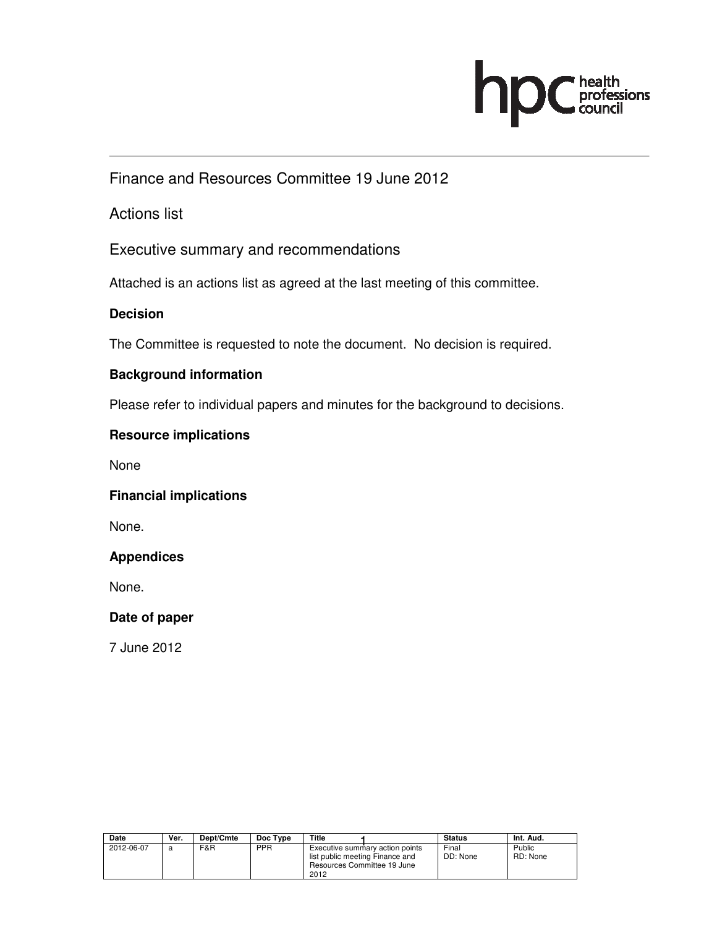

Finance and Resources Committee 19 June 2012

Actions list

Executive summary and recommendations

Attached is an actions list as agreed at the last meeting of this committee.

## **Decision**

The Committee is requested to note the document. No decision is required.

## **Background information**

Please refer to individual papers and minutes for the background to decisions.

## **Resource implications**

None

#### **Financial implications**

None.

#### **Appendices**

None.

#### **Date of paper**

7 June 2012

| <b>Date</b> | Ver. | Dept/Cmte | Doc Type | Title                                                                  |                                 | <b>Status</b>     | Int. Aud.          |
|-------------|------|-----------|----------|------------------------------------------------------------------------|---------------------------------|-------------------|--------------------|
| 2012-06-07  | a    | F&R       | PPR      | list public meeting Finance and<br>Resources Committee 19 June<br>2012 | Executive summary action points | Final<br>DD: None | Public<br>RD: None |